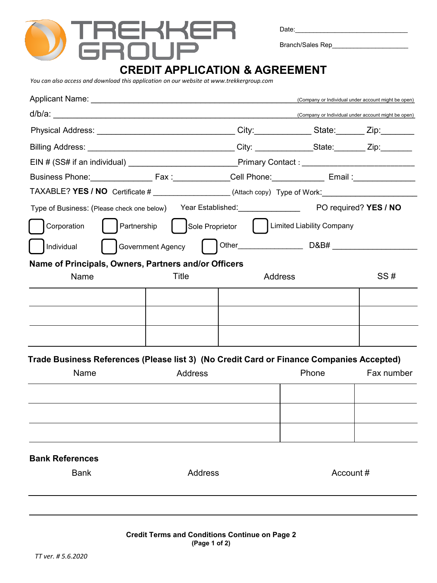

Date:

Branch/Sales Rep\_\_\_\_\_\_\_\_\_\_\_\_\_\_\_

## **CREDIT APPLICATION & AGREEMENT**

*You can also access and download this application on our website at www.trekkergroup.com*

|                                                                                                                 |         |                                                                                    |                                                           | (Company or Individual under account might be open) |
|-----------------------------------------------------------------------------------------------------------------|---------|------------------------------------------------------------------------------------|-----------------------------------------------------------|-----------------------------------------------------|
|                                                                                                                 |         |                                                                                    |                                                           | (Company or Individual under account might be open) |
|                                                                                                                 |         |                                                                                    |                                                           |                                                     |
| Billing Address: __________________________________City: _____________State:________Zip:___________             |         |                                                                                    |                                                           |                                                     |
|                                                                                                                 |         |                                                                                    |                                                           |                                                     |
| Business Phone: Fax : Fax : Cell Phone: Email : Email : Email : Email : Email : Email : Email : Email : Email : |         |                                                                                    |                                                           |                                                     |
| TAXABLE? YES / NO Certificate # ___________________(Attach copy) Type of Work: _____________________            |         |                                                                                    |                                                           |                                                     |
|                                                                                                                 |         | Type of Business: (Please check one below) Year Established: PO required? YES / NO |                                                           |                                                     |
| Corporation                                                                                                     |         |                                                                                    | Partnership   Sole Proprietor   Limited Liability Company |                                                     |
| Individual                                                                                                      |         |                                                                                    |                                                           |                                                     |
| Name of Principals, Owners, Partners and/or Officers                                                            |         |                                                                                    |                                                           |                                                     |
| Name                                                                                                            | Title   | Address                                                                            |                                                           | SS#                                                 |
|                                                                                                                 |         |                                                                                    |                                                           |                                                     |
|                                                                                                                 |         |                                                                                    |                                                           |                                                     |
|                                                                                                                 |         |                                                                                    |                                                           |                                                     |
| Trade Business References (Please list 3) (No Credit Card or Finance Companies Accepted)                        |         |                                                                                    |                                                           |                                                     |
| Name                                                                                                            | Address |                                                                                    | Phone                                                     | Fax number                                          |
|                                                                                                                 |         |                                                                                    |                                                           |                                                     |
|                                                                                                                 |         |                                                                                    |                                                           |                                                     |
|                                                                                                                 |         |                                                                                    |                                                           |                                                     |
| <b>Bank References</b>                                                                                          |         |                                                                                    |                                                           |                                                     |
| <b>Bank</b><br>Address                                                                                          |         |                                                                                    | Account#                                                  |                                                     |
|                                                                                                                 |         |                                                                                    |                                                           |                                                     |
|                                                                                                                 |         |                                                                                    |                                                           |                                                     |
|                                                                                                                 |         |                                                                                    |                                                           |                                                     |